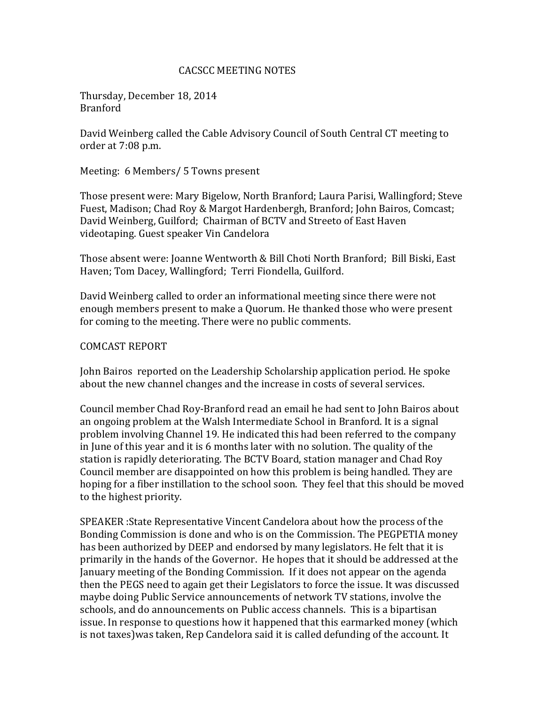### CACSCC MEETING NOTES

Thursday, December 18, 2014 Branford

David Weinberg called the Cable Advisory Council of South Central CT meeting to order at 7:08 p.m.

Meeting: 6 Members/ 5 Towns present

Those present were: Mary Bigelow, North Branford; Laura Parisi, Wallingford; Steve Fuest, Madison; Chad Roy & Margot Hardenbergh, Branford; John Bairos, Comcast; David Weinberg, Guilford; Chairman of BCTV and Streeto of East Haven videotaping. Guest speaker Vin Candelora

Those absent were: Joanne Wentworth & Bill Choti North Branford; Bill Biski, East Haven; Tom Dacey, Wallingford; Terri Fiondella, Guilford.

David Weinberg called to order an informational meeting since there were not enough members present to make a Quorum. He thanked those who were present for coming to the meeting. There were no public comments.

#### COMCAST REPORT

John Bairos reported on the Leadership Scholarship application period. He spoke about the new channel changes and the increase in costs of several services.

Council member Chad Roy-Branford read an email he had sent to John Bairos about an ongoing problem at the Walsh Intermediate School in Branford. It is a signal problem involving Channel 19. He indicated this had been referred to the company in June of this year and it is 6 months later with no solution. The quality of the station is rapidly deteriorating. The BCTV Board, station manager and Chad Roy Council member are disappointed on how this problem is being handled. They are hoping for a fiber instillation to the school soon. They feel that this should be moved to the highest priority.

SPEAKER :State Representative Vincent Candelora about how the process of the Bonding Commission is done and who is on the Commission. The PEGPETIA money has been authorized by DEEP and endorsed by many legislators. He felt that it is primarily in the hands of the Governor. He hopes that it should be addressed at the January meeting of the Bonding Commission. If it does not appear on the agenda then the PEGS need to again get their Legislators to force the issue. It was discussed maybe doing Public Service announcements of network TV stations, involve the schools, and do announcements on Public access channels. This is a bipartisan issue. In response to questions how it happened that this earmarked money (which is not taxes)was taken, Rep Candelora said it is called defunding of the account. It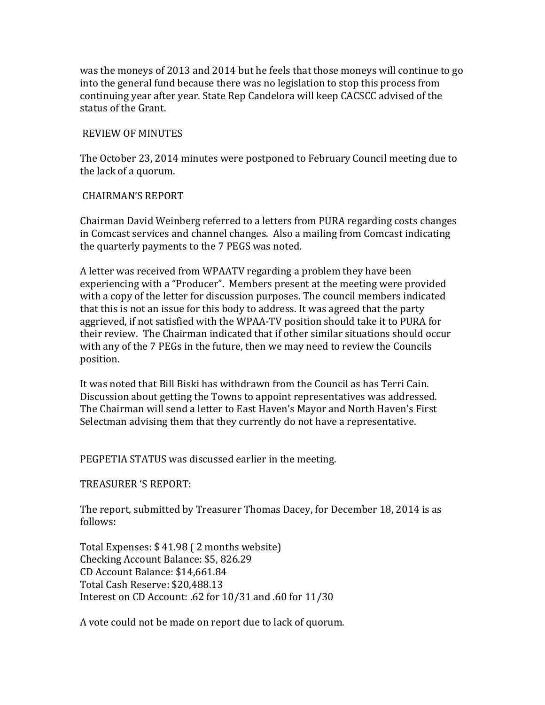was the moneys of 2013 and 2014 but he feels that those moneys will continue to go into the general fund because there was no legislation to stop this process from continuing year after year. State Rep Candelora will keep CACSCC advised of the status of the Grant.

## REVIEW OF MINUTES

The October 23, 2014 minutes were postponed to February Council meeting due to the lack of a quorum.

# CHAIRMAN'S REPORT

Chairman David Weinberg referred to a letters from PURA regarding costs changes in Comcast services and channel changes. Also a mailing from Comcast indicating the quarterly payments to the 7 PEGS was noted.

A letter was received from WPAATV regarding a problem they have been experiencing with a "Producer". Members present at the meeting were provided with a copy of the letter for discussion purposes. The council members indicated that this is not an issue for this body to address. It was agreed that the party aggrieved, if not satisfied with the WPAA-TV position should take it to PURA for their review. The Chairman indicated that if other similar situations should occur with any of the 7 PEGs in the future, then we may need to review the Councils position.

It was noted that Bill Biski has withdrawn from the Council as has Terri Cain. Discussion about getting the Towns to appoint representatives was addressed. The Chairman will send a letter to East Haven's Mayor and North Haven's First Selectman advising them that they currently do not have a representative.

PEGPETIA STATUS was discussed earlier in the meeting.

TREASURER 'S REPORT:

The report, submitted by Treasurer Thomas Dacey, for December 18, 2014 is as follows:

Total Expenses: \$ 41.98 ( 2 months website) Checking Account Balance: \$5, 826.29 CD Account Balance: \$14,661.84 Total Cash Reserve: \$20,488.13 Interest on CD Account: .62 for 10/31 and .60 for 11/30

A vote could not be made on report due to lack of quorum.